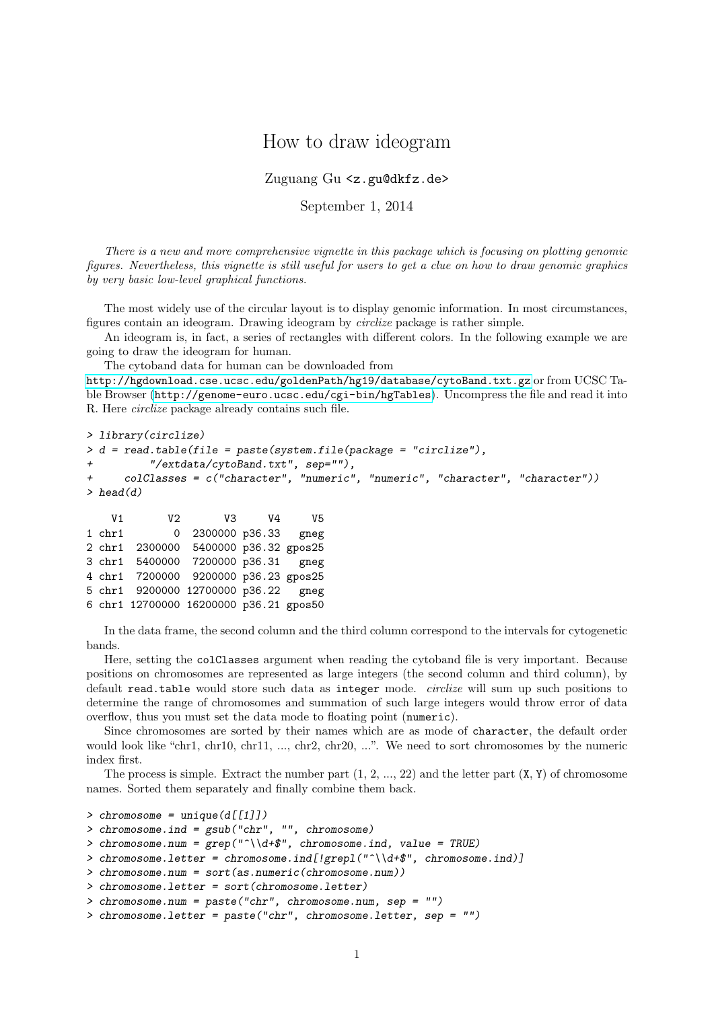## How to draw ideogram

Zuguang Gu <z.gu@dkfz.de>

September 1, 2014

There is a new and more comprehensive vignette in this package which is focusing on plotting genomic figures. Nevertheless, this vignette is still useful for users to get a clue on how to draw genomic graphics by very basic low-level graphical functions.

The most widely use of the circular layout is to display genomic information. In most circumstances, figures contain an ideogram. Drawing ideogram by circlize package is rather simple.

An ideogram is, in fact, a series of rectangles with different colors. In the following example we are going to draw the ideogram for human.

The cytoband data for human can be downloaded from

<http://hgdownload.cse.ucsc.edu/goldenPath/hg19/database/cytoBand.txt.gz> or from UCSC Table Browser (<http://genome-euro.ucsc.edu/cgi-bin/hgTables>). Uncompress the file and read it into R. Here circlize package already contains such file.

```
> library(circlize)
> d = read.table(file = paste(system.file(package = "circlize"),
         "/extdata/cytoBand.txt", sep=""),
     + colClasses = c("character", "numeric", "numeric", "character", "character"))
> head(d)
    V1 V2 V3 V4 V5
```

|  | 0 2300000 p36.33 gneg                  | $1$ chr $1$ |  |
|--|----------------------------------------|-------------|--|
|  | 2 chr1 2300000 5400000 p36.32 gpos25   |             |  |
|  | 3 chr1 5400000 7200000 p36.31 gneg     |             |  |
|  | 4 chr1 7200000 9200000 p36.23 gpos25   |             |  |
|  | 5 chr1 9200000 12700000 p36.22 gneg    |             |  |
|  | 6 chr1 12700000 16200000 p36.21 gpos50 |             |  |

In the data frame, the second column and the third column correspond to the intervals for cytogenetic bands.

Here, setting the colClasses argument when reading the cytoband file is very important. Because positions on chromosomes are represented as large integers (the second column and third column), by default read.table would store such data as integer mode. circlize will sum up such positions to determine the range of chromosomes and summation of such large integers would throw error of data overflow, thus you must set the data mode to floating point (numeric).

Since chromosomes are sorted by their names which are as mode of character, the default order would look like "chr1, chr10, chr11, ..., chr2, chr20, ...". We need to sort chromosomes by the numeric index first.

The process is simple. Extract the number part  $(1, 2, ..., 22)$  and the letter part  $(X, Y)$  of chromosome names. Sorted them separately and finally combine them back.

```
\geq chromosome = unique(d[[1]])
> chromosome.ind = gsub("chr", "", chromosome)
> chromosome.num = grep("\\d+$", chromosomeind, value = TRUE)> chromosome.letter = chromosome.ind[!grepl("^\\d+$", chromosome.ind)]
> chromosome.num = sort(as.numeric(chromosome.num))
> chromosome.letter = sort(chromosome.letter)
> chromosome.num = paste("chr", chromosome.num, sep = "")
> chromosome.letter = paste("chr", chromosome.letter, sep = "")
```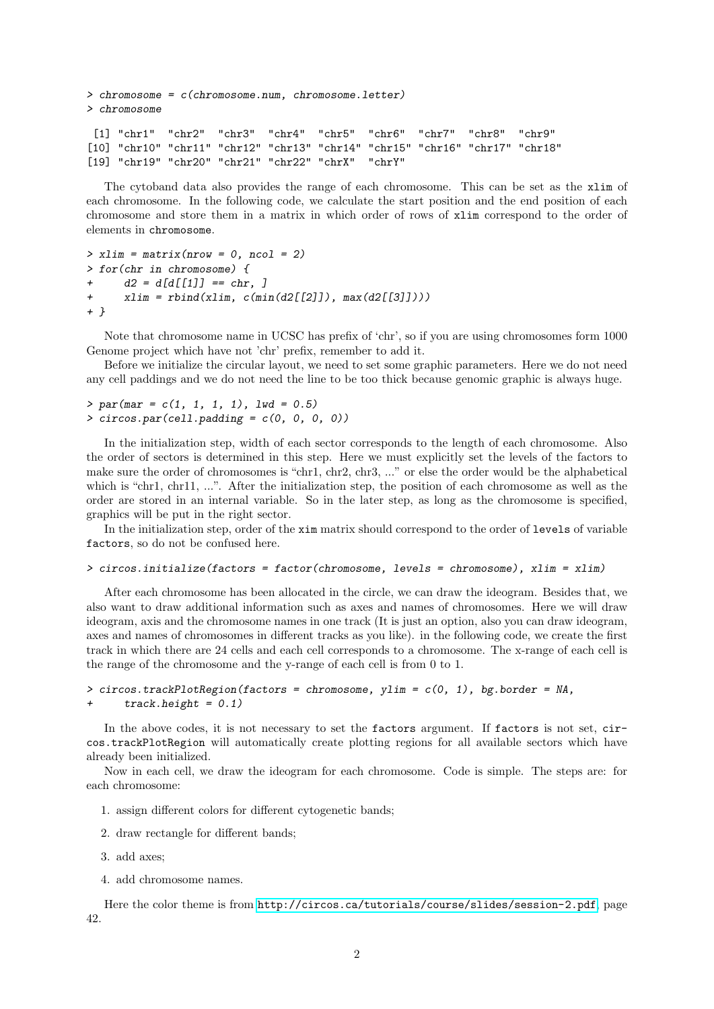```
> chromosome = c(chromosome.num, chromosome.letter)
> chromosome
 [1] "chr1" "chr2" "chr3" "chr4" "chr5" "chr6" "chr7" "chr8" "chr9"
[10] "chr10" "chr11" "chr12" "chr13" "chr14" "chr15" "chr16" "chr17" "chr18"
[19] "chr19" "chr20" "chr21" "chr22" "chrX" "chrY"
```
The cytoband data also provides the range of each chromosome. This can be set as the xlim of each chromosome. In the following code, we calculate the start position and the end position of each chromosome and store them in a matrix in which order of rows of xlim correspond to the order of elements in chromosome.

```
> xlim = matrix(nrow = 0, ncol = 2)> for(chr in chromosome) {
+ d2 = d/d/[1] = -chr, ]
+ xlim = rbind(xlim, c(min(d2[[2]]), max(d2[[3]])))+ }
```
Note that chromosome name in UCSC has prefix of 'chr', so if you are using chromosomes form 1000 Genome project which have not 'chr' prefix, remember to add it.

Before we initialize the circular layout, we need to set some graphic parameters. Here we do not need any cell paddings and we do not need the line to be too thick because genomic graphic is always huge.

```
> par(max = c(1, 1, 1, 1), Iwd = 0.5)> circos.par(cell.padding = c(0, 0, 0, 0))
```
In the initialization step, width of each sector corresponds to the length of each chromosome. Also the order of sectors is determined in this step. Here we must explicitly set the levels of the factors to make sure the order of chromosomes is "chr1, chr2, chr3, ..." or else the order would be the alphabetical which is "chr1, chr11, ...". After the initialization step, the position of each chromosome as well as the order are stored in an internal variable. So in the later step, as long as the chromosome is specified, graphics will be put in the right sector.

In the initialization step, order of the xim matrix should correspond to the order of levels of variable factors, so do not be confused here.

```
> circos.initialize(factors = factor(chromosome, levels = chromosome), xlim = xlim)
```
After each chromosome has been allocated in the circle, we can draw the ideogram. Besides that, we also want to draw additional information such as axes and names of chromosomes. Here we will draw ideogram, axis and the chromosome names in one track (It is just an option, also you can draw ideogram, axes and names of chromosomes in different tracks as you like). in the following code, we create the first track in which there are 24 cells and each cell corresponds to a chromosome. The x-range of each cell is the range of the chromosome and the y-range of each cell is from 0 to 1.

```
> circos.trackPlotRegion(factors = chromosome, ylim = c(0, 1), bg.border = NA,
+ track.height = 0.1)
```
In the above codes, it is not necessary to set the factors argument. If factors is not set, circos.trackPlotRegion will automatically create plotting regions for all available sectors which have already been initialized.

Now in each cell, we draw the ideogram for each chromosome. Code is simple. The steps are: for each chromosome:

- 1. assign different colors for different cytogenetic bands;
- 2. draw rectangle for different bands;
- 3. add axes;
- 4. add chromosome names.

Here the color theme is from <http://circos.ca/tutorials/course/slides/session-2.pdf>, page 42.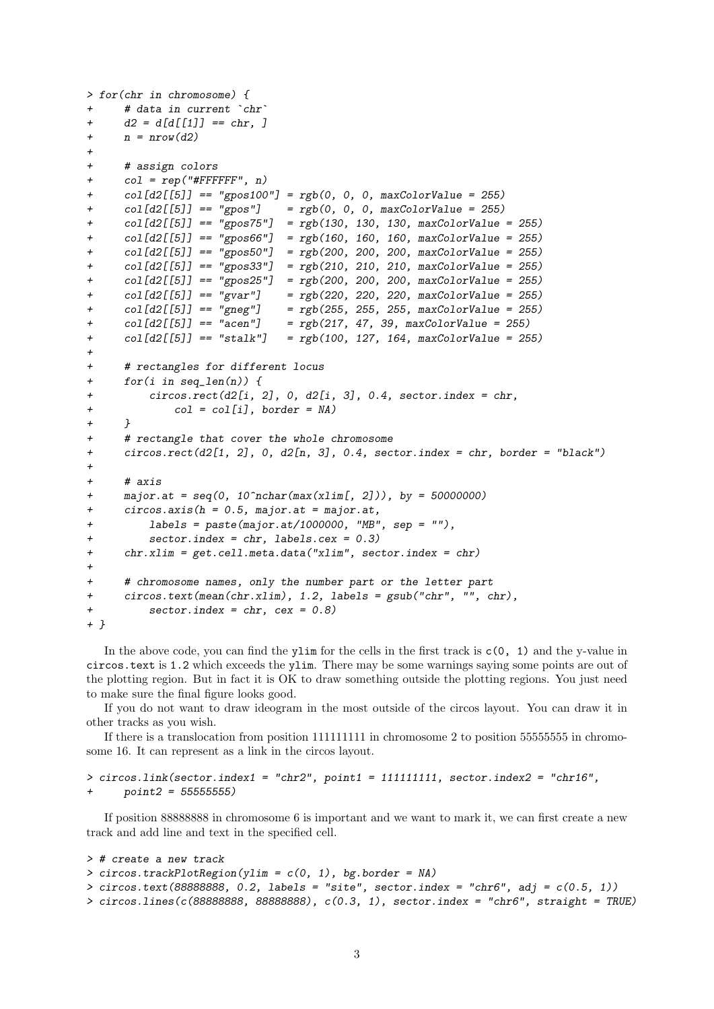```
> for(chr in chromosome) {
+ # data in current `chr`
+ d2 = d[d[[1]] == chr, ]+ n = nrow(d2)+
+ # assign colors
+ col = rep("#FFFFFF", n)
+ col[d2[[5]] == "gpos100"] = rgb(0, 0, 0, maxColorValue = 255)+ col[d2[[5]] == "gpos"] = rgb(0, 0, 0, maxColorValue = 255)+ col[d2[[5]] == "gpos75"] = rgb(130, 130, 130, maxColorValue = 255)+ col[d2[[5]] == "gpos66"] = rgb(160, 160, 160, maxColorValue = 255)+ col[d2[[5]] == "gpos50"] = rgb(200, 200, 200, maxColorValue = 255)
+ col[d2[[5]] == "gpos33"] = rgb(210, 210, 210, maxColorValue = 255)
+ col[d2[[5]] == "gpos25"] = rgb(200, 200, 200, maxColorValue = 255)+ col[d2[[5]] == "gvar"] = rgb(220, 220, 220, maxColorValue = 255)
+ col[d2[[5]] == "gneg"] = rgb(255, 255, 255, maxColorValue = 255)<br>+ col[d2[[5]] == "acen"] = rgb(217, 47, 39, maxColorValue = 255)+ col[d2[[5]] == "acen"] = rgb(217, 47, 39, maxColorValue = 255)
+ col[d2[[5]] == "stalk"] = rgb(100, 127, 164, maxColorValue = 255)+
+ # rectangles for different locus
+ for(i in seq_len(n)) {
+ circos.rect(d2[i, 2], 0, d2[i, 3], 0.4, sector.index = chr,
+ col = col[i], border = NA)
+ }
+ # rectangle that cover the whole chromosome
+ circos.rect(d2[1, 2], 0, d2[n, 3], 0.4, sector.index = chr, border = "black")
+
+ # 4 4 7 15+ major.at = seq(0, 10^n \text{cchar}(\text{max}(x \text{lim}[, 2])), by = 50000000)
+ circos.axis(h = 0.5, major.at = major.at,
+ labels = paste(major.at/1000000, "MB", sep = ""),
+ sector.index = chr, labels.cex = 0.3)
+ chr.xlim = get.cell.meta.data("xlim", sector.index = chr)
+
     # chromosome names, only the number part or the letter part
+ circos.text(mean(chr.xlim), 1.2, labels = gsub("chr", "", chr),
         sector.index = chr, cex = 0.8)+ }
```
In the above code, you can find the ylim for the cells in the first track is  $c(0, 1)$  and the y-value in circos.text is 1.2 which exceeds the ylim. There may be some warnings saying some points are out of the plotting region. But in fact it is OK to draw something outside the plotting regions. You just need to make sure the final figure looks good.

If you do not want to draw ideogram in the most outside of the circos layout. You can draw it in other tracks as you wish.

If there is a translocation from position 111111111 in chromosome 2 to position 55555555 in chromosome 16. It can represent as a link in the circos layout.

> circos.link(sector.index1 = "chr2", point1 = 111111111, sector.index2 = "chr16",  $point2 = 55555555$ 

If position 88888888 in chromosome 6 is important and we want to mark it, we can first create a new track and add line and text in the specified cell.

```
> # create a new track
> circos.trackPlotRegion(ylim = c(0, 1), bg.border = NA)
> circos.text(88888888, 0.2, labels = "site", sector.index = "chr6", adj = c(0.5, 1))
> circos.lines(c(88888888, 88888888), c(0.3, 1), sector.index = "chr6", straight = TRUE)
```